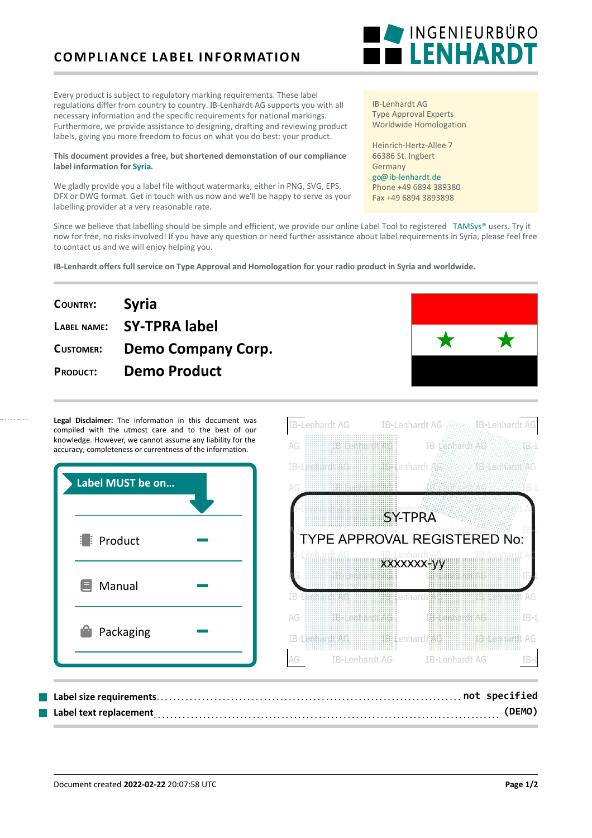## **COMPLIANCE LABEL INFORMATION**

Every product is subject to regulatory marking requirements. These label regulations differ from country to country. IB-Lenhardt AG supports you with all necessary information and the specific requirements for national markings. Furthermore, we provide assistance to designing, drafting and reviewing product labels, giving you more freedom to focus on what you do best: your product.

### **This document provides a free, but shortened demonstation of our compliance label information for [Syria.](https://ib-lenhardt.de/en/type-approval/country/Syria/)**

We gladly provide you a label file without watermarks, either in PNG, SVG, EPS, DFX or DWG format. Get in touch with us now and we'll be happy to serve as your labelling provider at a very reasonable rate.

IB-Lenhardt AG Type Approval Experts Worldwide Homologation

Heinrich-Hertz-Allee 7 66386 St. Ingbert Germany [go@ib-lenhardt.de](mailto:go@ib-lenhardt.de) Phone +49 6894 389380 Fax +49 6894 3893898

IB-Lenhardt AG ///////

IB-Lenhardt AG

Since we believe that labelling should be simple and efficient, we provide our online Label Tool to registered [TAMSys®](https://tamsys.org/) users. Try it now for free, no risks involved! If you have any question or need further assistance about label requirements in Syria, please feel free to contact us and we will enjoy helping you.

**IB-Lenhardt offers full service on Type Approval and Homologation for your radio product in Syria and worldwide.**

# **COUNTRY: Syria LABEL NAME: SY-TPRA label CUSTOMER: Demo Company Corp. PRODUCT: Demo Product**

Legal Disclaimer: The information in this document was compiled with the utmost care and to the best of our knowledge. However, we cannot assume any liability for the accuracy, completeness or currentness of the information.



AG.

**B-Lenhardt AG** 



**IB-Lenhardt AC** 

 $IB<sub>z</sub>$